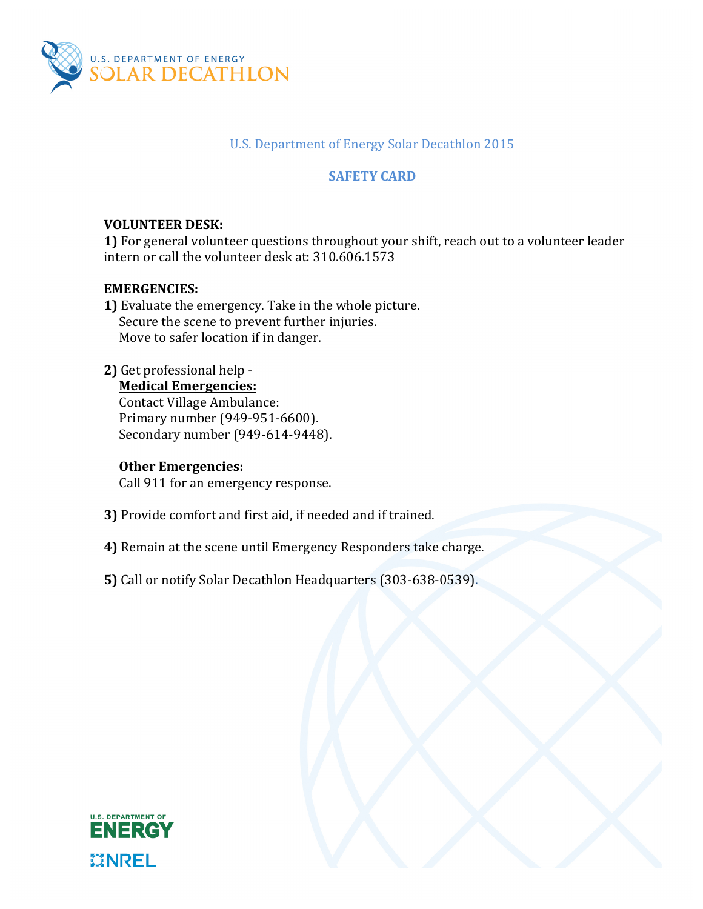

## U.S. Department of Energy Solar Decathlon 2015

# **SAFETY CARD**

# **VOLUNTEER DESK:**

**1)** For general volunteer questions throughout your shift, reach out to a volunteer leader intern or call the volunteer desk at: 310.606.1573

## **EMERGENCIES:**

**1)** Evaluate the emergency. Take in the whole picture. Secure the scene to prevent further injuries. Move to safer location if in danger.

### 2) Get professional help -

## **Medical Emergencies:**

Contact Village Ambulance: Primary number (949-951-6600). Secondary number (949-614-9448).

#### **Other Emergencies:**

Call 911 for an emergency response.

- **3)** Provide comfort and first aid, if needed and if trained.
- **4)** Remain at the scene until Emergency Responders take charge.
- **5)** Call or notify Solar Decathlon Headquarters (303-638-0539).